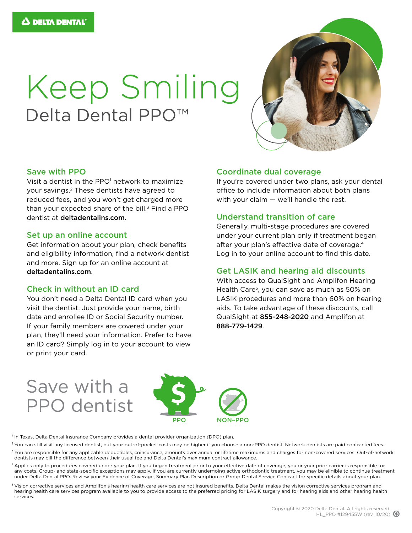# Keep Smiling Delta Dental PPO<sup>™</sup>



#### Save with PPO

Visit a dentist in the PPO<sup>1</sup> network to maximize your savings.2 These dentists have agreed to reduced fees, and you won't get charged more than your expected share of the bill. $3$  Find a PPO dentist at [deltadentalins.com](https://www1.deltadentalins.com).

#### Set up an online account

Get information about your plan, check benefits and eligibility information, find a network dentist and more. Sign up for an online account at [deltadentalins.com](https://www1.deltadentalins.com).

#### Check in without an ID card

You don't need a Delta Dental ID card when you visit the dentist. Just provide your name, birth date and enrollee ID or Social Security number. If your family members are covered under your plan, they'll need your information. Prefer to have an ID card? Simply log in to your account to view or print your card.

#### Coordinate dual coverage

If you're covered under two plans, ask your dental office to include information about both plans with your claim — we'll handle the rest.

#### Understand transition of care

Generally, multi-stage procedures are covered under your current plan only if treatment began after your plan's effective date of coverage.<sup>4</sup> Log in to your online account to find this date.

#### Get LASIK and hearing aid discounts

With access to QualSight and Amplifon Hearing Health Care<sup>5</sup>, you can save as much as 50% on LASIK procedures and more than 60% on hearing aids. To take advantage of these discounts, call QualSight at 855-248-2020 and Amplifon at 888-779-1429.

## Save with a PPO dentist



<sup>1</sup> In Texas, Delta Dental Insurance Company provides a dental provider organization (DPO) plan.

- <sup>2</sup> You can still visit any licensed dentist, but your out-of-pocket costs may be higher if you choose a non-PPO dentist. Network dentists are paid contracted fees.
- <sup>3</sup> You are responsible for any applicable deductibles, coinsurance, amounts over annual or lifetime maximums and charges for non-covered services. Out-of-network dentists may bill the difference between their usual fee and Delta Dental's maximum contract allowance.
- 4 Applies only to procedures covered under your plan. If you began treatment prior to your effective date of coverage, you or your prior carrier is responsible for any costs. Group- and state-specific exceptions may apply. If you are currently undergoing active orthodontic treatment, you may be eligible to continue treatment under Delta Dental PPO. Review your Evidence of Coverage, Summary Plan Description or Group Dental Service Contract for specific details about your plan.
- 5 Vision corrective services and Amplifon's hearing health care services are not insured benefits. Delta Dental makes the vision corrective services program and hearing health care services program available to you to provide access to the preferred pricing for LASIK surgery and for hearing aids and other hearing health services.